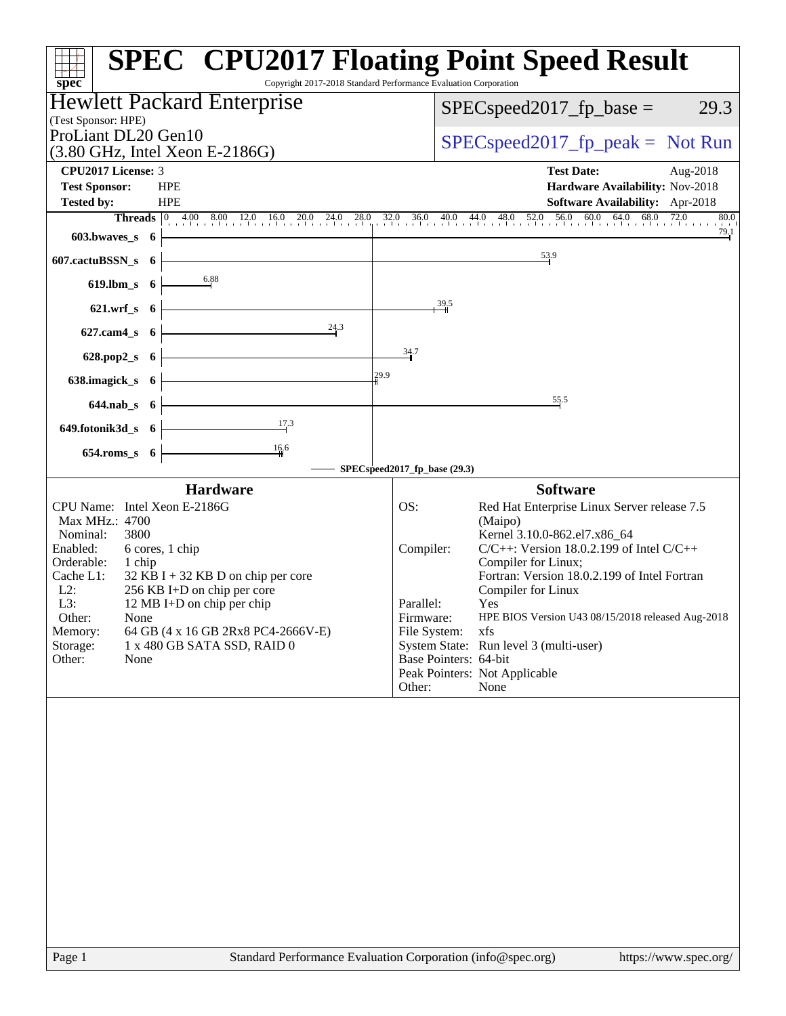| Copyright 2017-2018 Standard Performance Evaluation Corporation                                                                                                                                                                                                                                                                                                                              | <b>SPEC<sup>®</sup></b> CPU2017 Floating Point Speed Result                                                                                                                                                                                                                                                                                                                                                                                                                                 |
|----------------------------------------------------------------------------------------------------------------------------------------------------------------------------------------------------------------------------------------------------------------------------------------------------------------------------------------------------------------------------------------------|---------------------------------------------------------------------------------------------------------------------------------------------------------------------------------------------------------------------------------------------------------------------------------------------------------------------------------------------------------------------------------------------------------------------------------------------------------------------------------------------|
| spec <sup>®</sup><br><b>Hewlett Packard Enterprise</b>                                                                                                                                                                                                                                                                                                                                       |                                                                                                                                                                                                                                                                                                                                                                                                                                                                                             |
| (Test Sponsor: HPE)                                                                                                                                                                                                                                                                                                                                                                          | 29.3<br>$SPEC speed2017fp base =$                                                                                                                                                                                                                                                                                                                                                                                                                                                           |
| ProLiant DL20 Gen10                                                                                                                                                                                                                                                                                                                                                                          | $SPEC speed2017fr peak = Not Run$                                                                                                                                                                                                                                                                                                                                                                                                                                                           |
| $(3.80 \text{ GHz}, \text{Intel Xeon E-2186G})$                                                                                                                                                                                                                                                                                                                                              |                                                                                                                                                                                                                                                                                                                                                                                                                                                                                             |
| CPU2017 License: 3<br><b>HPE</b>                                                                                                                                                                                                                                                                                                                                                             | <b>Test Date:</b><br>Aug-2018                                                                                                                                                                                                                                                                                                                                                                                                                                                               |
| <b>Test Sponsor:</b><br><b>Tested by:</b><br><b>HPE</b>                                                                                                                                                                                                                                                                                                                                      | Hardware Availability: Nov-2018<br>Software Availability: Apr-2018                                                                                                                                                                                                                                                                                                                                                                                                                          |
|                                                                                                                                                                                                                                                                                                                                                                                              | <b>Threads</b> 0 4.00 8.00 12.0 16.0 20.0 24.0 28.0 32.0 36.0 40.0 44.0 48.0 52.0 56.0 60.0 64.0 68.0 72.0 80.0<br>80.0                                                                                                                                                                                                                                                                                                                                                                     |
| $603.bwaves$ 6 $\overline{\qquad}$                                                                                                                                                                                                                                                                                                                                                           | $\frac{79.1}{4}$                                                                                                                                                                                                                                                                                                                                                                                                                                                                            |
| $607$ .cactuBSSN_s $6 \nmid$                                                                                                                                                                                                                                                                                                                                                                 | 53.9                                                                                                                                                                                                                                                                                                                                                                                                                                                                                        |
| 619.lbm_s $6 \overline{\smash)3.88}$                                                                                                                                                                                                                                                                                                                                                         |                                                                                                                                                                                                                                                                                                                                                                                                                                                                                             |
| $621.wrf_s$ 6                                                                                                                                                                                                                                                                                                                                                                                | 39.5                                                                                                                                                                                                                                                                                                                                                                                                                                                                                        |
| 24.3<br>$627.cam4_s$ 6                                                                                                                                                                                                                                                                                                                                                                       |                                                                                                                                                                                                                                                                                                                                                                                                                                                                                             |
| 628.pop2_s $6 \nightharpoonup$                                                                                                                                                                                                                                                                                                                                                               | 34.7                                                                                                                                                                                                                                                                                                                                                                                                                                                                                        |
| 638.imagick_s $6 \left\downarrow$<br>29.9                                                                                                                                                                                                                                                                                                                                                    |                                                                                                                                                                                                                                                                                                                                                                                                                                                                                             |
| $644.nab_s$ 6                                                                                                                                                                                                                                                                                                                                                                                | 55.5                                                                                                                                                                                                                                                                                                                                                                                                                                                                                        |
| 649.fotonik3d_s 6 $\frac{17.3}{1}$                                                                                                                                                                                                                                                                                                                                                           |                                                                                                                                                                                                                                                                                                                                                                                                                                                                                             |
| $\frac{16.6}{1}$                                                                                                                                                                                                                                                                                                                                                                             |                                                                                                                                                                                                                                                                                                                                                                                                                                                                                             |
| $654$ .roms_s $6 \nightharpoonup$                                                                                                                                                                                                                                                                                                                                                            | SPECspeed2017_fp_base (29.3)                                                                                                                                                                                                                                                                                                                                                                                                                                                                |
| <b>Hardware</b>                                                                                                                                                                                                                                                                                                                                                                              | <b>Software</b>                                                                                                                                                                                                                                                                                                                                                                                                                                                                             |
| CPU Name: Intel Xeon E-2186G<br>Max MHz.: 4700<br>Nominal:<br>3800<br>Enabled:<br>6 cores, 1 chip<br>Orderable:<br>1 chip<br>$32$ KB I + 32 KB D on chip per core<br>Cache L1:<br>$L2$ :<br>256 KB I+D on chip per core<br>L3:<br>12 MB I+D on chip per chip<br>Other:<br>None<br>64 GB (4 x 16 GB 2Rx8 PC4-2666V-E)<br>Memory:<br>1 x 480 GB SATA SSD, RAID 0<br>Storage:<br>Other:<br>None | Red Hat Enterprise Linux Server release 7.5<br>OS:<br>(Maipo)<br>Kernel 3.10.0-862.el7.x86_64<br>$C/C++$ : Version 18.0.2.199 of Intel $C/C++$<br>Compiler:<br>Compiler for Linux;<br>Fortran: Version 18.0.2.199 of Intel Fortran<br>Compiler for Linux<br>Parallel:<br>Yes<br>HPE BIOS Version U43 08/15/2018 released Aug-2018<br>Firmware:<br>File System:<br>xfs<br>System State: Run level 3 (multi-user)<br>Base Pointers: 64-bit<br>Peak Pointers: Not Applicable<br>Other:<br>None |
| Standard Performance Evaluation Corporation (info@spec.org)<br>Page 1                                                                                                                                                                                                                                                                                                                        | https://www.spec.org/                                                                                                                                                                                                                                                                                                                                                                                                                                                                       |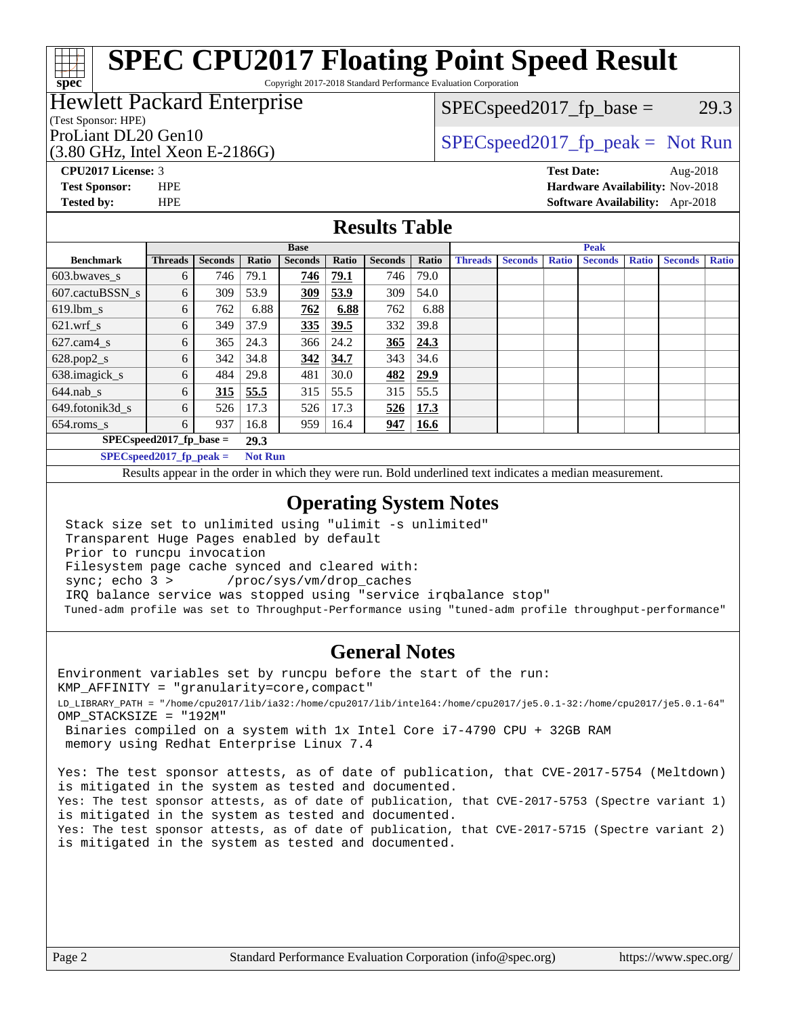## **[SPEC CPU2017 Floating Point Speed Result](http://www.spec.org/auto/cpu2017/Docs/result-fields.html#SPECCPU2017FloatingPointSpeedResult)**

Copyright 2017-2018 Standard Performance Evaluation Corporation

### Hewlett Packard Enterprise

### (Test Sponsor: HPE)

(3.80 GHz, Intel Xeon E-2186G)

 $SPEC speed2017_fp\_base = 29.3$ 

### ProLiant DL20 Gen10  $SPEC speed2017<sub>fp</sub> peak = Not Run$

**[spec](http://www.spec.org/)**

**[CPU2017 License:](http://www.spec.org/auto/cpu2017/Docs/result-fields.html#CPU2017License)** 3 **[Test Date:](http://www.spec.org/auto/cpu2017/Docs/result-fields.html#TestDate)** Aug-2018 **[Test Sponsor:](http://www.spec.org/auto/cpu2017/Docs/result-fields.html#TestSponsor)** HPE **[Hardware Availability:](http://www.spec.org/auto/cpu2017/Docs/result-fields.html#HardwareAvailability)** Nov-2018 **[Tested by:](http://www.spec.org/auto/cpu2017/Docs/result-fields.html#Testedby)** HPE **[Software Availability:](http://www.spec.org/auto/cpu2017/Docs/result-fields.html#SoftwareAvailability)** Apr-2018

### **[Results Table](http://www.spec.org/auto/cpu2017/Docs/result-fields.html#ResultsTable)**

|                            | <b>Base</b>                |                |                |                | <b>Peak</b> |                |             |                |                |              |                |              |                |              |
|----------------------------|----------------------------|----------------|----------------|----------------|-------------|----------------|-------------|----------------|----------------|--------------|----------------|--------------|----------------|--------------|
| <b>Benchmark</b>           | <b>Threads</b>             | <b>Seconds</b> | Ratio          | <b>Seconds</b> | Ratio       | <b>Seconds</b> | Ratio       | <b>Threads</b> | <b>Seconds</b> | <b>Ratio</b> | <b>Seconds</b> | <b>Ratio</b> | <b>Seconds</b> | <b>Ratio</b> |
| $603.bwaves$ s             | 6                          | 746            | 79.1           | 746            | 79.1        | 746            | 79.0        |                |                |              |                |              |                |              |
| 607.cactuBSSN s            | 6                          | 309            | 53.9           | <u>309</u>     | 53.9        | 309            | 54.0        |                |                |              |                |              |                |              |
| $619.1$ bm s               | 6                          | 762            | 6.88           | 762            | 6.88        | 762            | 6.88        |                |                |              |                |              |                |              |
| $621.wrf$ s                | 6                          | 349            | 37.9           | 335            | 39.5        | 332            | 39.8        |                |                |              |                |              |                |              |
| $627$ .cam4 s              | 6                          | 365            | 24.3           | 366            | 24.2        | 365            | 24.3        |                |                |              |                |              |                |              |
| $628.pop2_s$               | 6                          | 342            | 34.8           | 342            | 34.7        | 343            | 34.6        |                |                |              |                |              |                |              |
| 638.imagick_s              | 6                          | 484            | 29.8           | 481            | 30.0        | 482            | 29.9        |                |                |              |                |              |                |              |
| $644$ .nab s               | 6                          | 315            | 55.5           | 315            | 55.5        | 315            | 55.5        |                |                |              |                |              |                |              |
| 649.fotonik3d s            | 6                          | 526            | 17.3           | 526            | 17.3        | 526            | 17.3        |                |                |              |                |              |                |              |
| $654$ .roms s              | 6                          | 937            | 16.8           | 959            | 16.4        | 947            | <b>16.6</b> |                |                |              |                |              |                |              |
| $SPEC speed2017$ fp base = |                            |                | 29.3           |                |             |                |             |                |                |              |                |              |                |              |
|                            | $SPECspeed2017_fp\_peak =$ |                | <b>Not Run</b> |                |             |                |             |                |                |              |                |              |                |              |

Results appear in the [order in which they were run.](http://www.spec.org/auto/cpu2017/Docs/result-fields.html#RunOrder) Bold underlined text [indicates a median measurement](http://www.spec.org/auto/cpu2017/Docs/result-fields.html#Median).

### **[Operating System Notes](http://www.spec.org/auto/cpu2017/Docs/result-fields.html#OperatingSystemNotes)**

 Stack size set to unlimited using "ulimit -s unlimited" Transparent Huge Pages enabled by default Prior to runcpu invocation Filesystem page cache synced and cleared with: sync; echo 3 > /proc/sys/vm/drop caches IRQ balance service was stopped using "service irqbalance stop" Tuned-adm profile was set to Throughput-Performance using "tuned-adm profile throughput-performance"

### **[General Notes](http://www.spec.org/auto/cpu2017/Docs/result-fields.html#GeneralNotes)**

Environment variables set by runcpu before the start of the run: KMP\_AFFINITY = "granularity=core,compact" LD\_LIBRARY\_PATH = "/home/cpu2017/lib/ia32:/home/cpu2017/lib/intel64:/home/cpu2017/je5.0.1-32:/home/cpu2017/je5.0.1-64" OMP\_STACKSIZE = "192M" Binaries compiled on a system with 1x Intel Core i7-4790 CPU + 32GB RAM memory using Redhat Enterprise Linux 7.4

Yes: The test sponsor attests, as of date of publication, that CVE-2017-5754 (Meltdown) is mitigated in the system as tested and documented. Yes: The test sponsor attests, as of date of publication, that CVE-2017-5753 (Spectre variant 1) is mitigated in the system as tested and documented. Yes: The test sponsor attests, as of date of publication, that CVE-2017-5715 (Spectre variant 2) is mitigated in the system as tested and documented.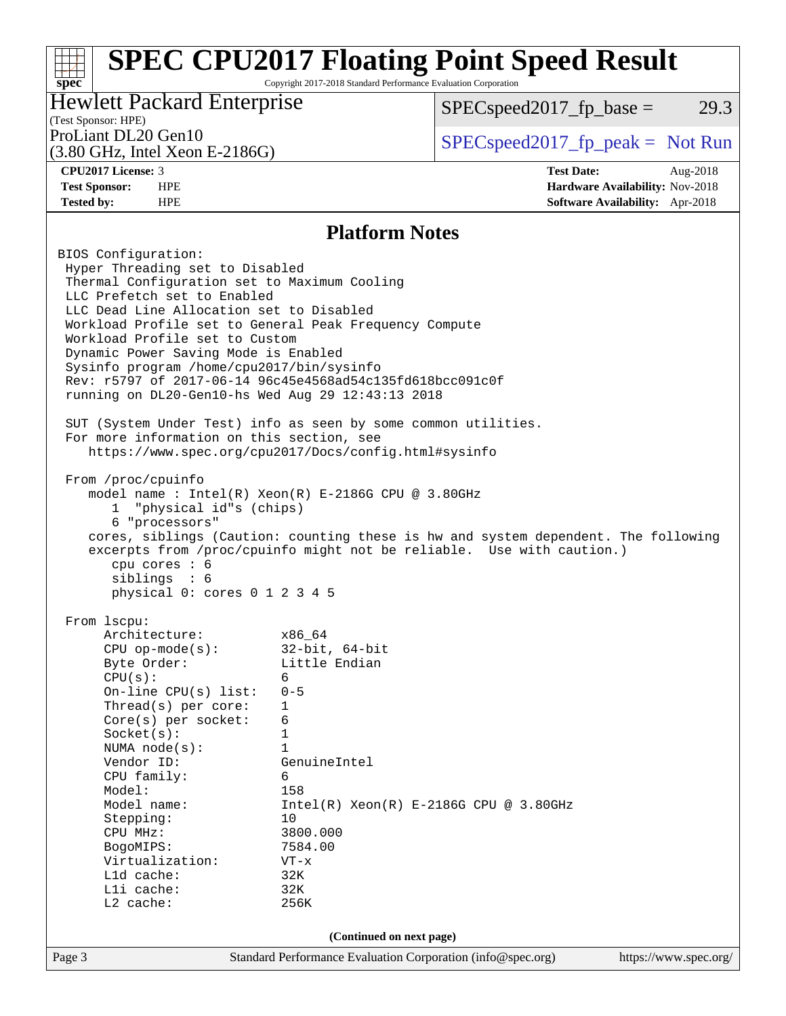## **[SPEC CPU2017 Floating Point Speed Result](http://www.spec.org/auto/cpu2017/Docs/result-fields.html#SPECCPU2017FloatingPointSpeedResult)**

Copyright 2017-2018 Standard Performance Evaluation Corporation

### Hewlett Packard Enterprise

 $SPEC speed2017<sub>fp</sub> base = 29.3$ 

### (Test Sponsor: HPE)

(3.80 GHz, Intel Xeon E-2186G)

ProLiant DL20 Gen10  $SPEC speed2017<sub>fp</sub> peak = Not Run$ 

**[spec](http://www.spec.org/)**

**[CPU2017 License:](http://www.spec.org/auto/cpu2017/Docs/result-fields.html#CPU2017License)** 3 **[Test Date:](http://www.spec.org/auto/cpu2017/Docs/result-fields.html#TestDate)** Aug-2018 **[Test Sponsor:](http://www.spec.org/auto/cpu2017/Docs/result-fields.html#TestSponsor)** HPE **[Hardware Availability:](http://www.spec.org/auto/cpu2017/Docs/result-fields.html#HardwareAvailability)** Nov-2018 **[Tested by:](http://www.spec.org/auto/cpu2017/Docs/result-fields.html#Testedby)** HPE **[Software Availability:](http://www.spec.org/auto/cpu2017/Docs/result-fields.html#SoftwareAvailability)** Apr-2018

### **[Platform Notes](http://www.spec.org/auto/cpu2017/Docs/result-fields.html#PlatformNotes)**

Page 3 Standard Performance Evaluation Corporation [\(info@spec.org\)](mailto:info@spec.org) <https://www.spec.org/> BIOS Configuration: Hyper Threading set to Disabled Thermal Configuration set to Maximum Cooling LLC Prefetch set to Enabled LLC Dead Line Allocation set to Disabled Workload Profile set to General Peak Frequency Compute Workload Profile set to Custom Dynamic Power Saving Mode is Enabled Sysinfo program /home/cpu2017/bin/sysinfo Rev: r5797 of 2017-06-14 96c45e4568ad54c135fd618bcc091c0f running on DL20-Gen10-hs Wed Aug 29 12:43:13 2018 SUT (System Under Test) info as seen by some common utilities. For more information on this section, see <https://www.spec.org/cpu2017/Docs/config.html#sysinfo> From /proc/cpuinfo model name : Intel(R) Xeon(R) E-2186G CPU @ 3.80GHz 1 "physical id"s (chips) 6 "processors" cores, siblings (Caution: counting these is hw and system dependent. The following excerpts from /proc/cpuinfo might not be reliable. Use with caution.) cpu cores : 6 siblings : 6 physical 0: cores 0 1 2 3 4 5 From lscpu: Architecture: x86\_64 CPU op-mode(s): 32-bit, 64-bit Byte Order: Little Endian  $CPU(s):$  6 On-line CPU(s) list: 0-5 Thread(s) per core: 1 Core(s) per socket: 6 Socket(s): 1 NUMA node(s): 1 Vendor ID: GenuineIntel CPU family: 6 Model: 158 Model name:  $Intel(R)$  Xeon(R) E-2186G CPU @ 3.80GHz Stepping: 10 CPU MHz: 3800.000 BogoMIPS: 7584.00 Virtualization: VT-x L1d cache: 32K L1i cache: 32K L2 cache: 256K **(Continued on next page)**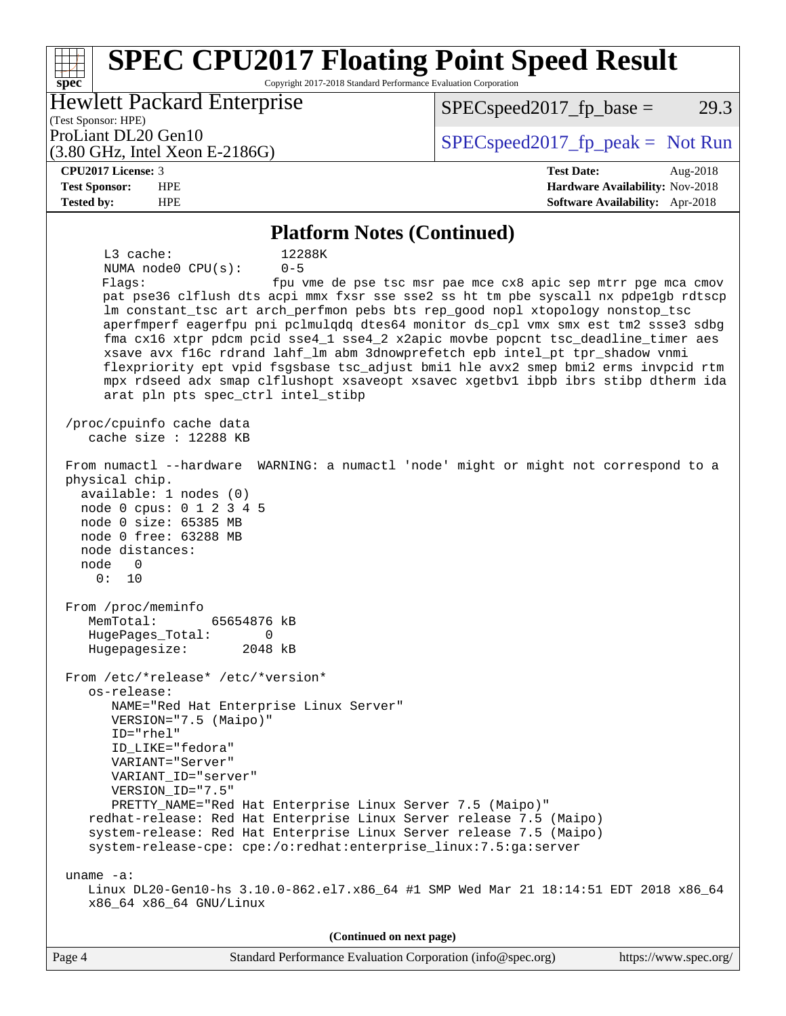#### **[spec](http://www.spec.org/) [SPEC CPU2017 Floating Point Speed Result](http://www.spec.org/auto/cpu2017/Docs/result-fields.html#SPECCPU2017FloatingPointSpeedResult)** Copyright 2017-2018 Standard Performance Evaluation Corporation (Test Sponsor: HPE) Hewlett Packard Enterprise (3.80 GHz, Intel Xeon E-2186G) ProLiant DL20 Gen10  $SPEC speed2017<sub>fp</sub> peak = Not Run$  $SPEC speed2017<sub>fp</sub> base = 29.3$ **[CPU2017 License:](http://www.spec.org/auto/cpu2017/Docs/result-fields.html#CPU2017License)** 3 **[Test Date:](http://www.spec.org/auto/cpu2017/Docs/result-fields.html#TestDate)** Aug-2018 **[Test Sponsor:](http://www.spec.org/auto/cpu2017/Docs/result-fields.html#TestSponsor)** HPE **[Hardware Availability:](http://www.spec.org/auto/cpu2017/Docs/result-fields.html#HardwareAvailability)** Nov-2018 **[Tested by:](http://www.spec.org/auto/cpu2017/Docs/result-fields.html#Testedby)** HPE **[Software Availability:](http://www.spec.org/auto/cpu2017/Docs/result-fields.html#SoftwareAvailability)** Apr-2018 **[Platform Notes \(Continued\)](http://www.spec.org/auto/cpu2017/Docs/result-fields.html#PlatformNotes)** L3 cache: 12288K NUMA node0 CPU(s): 0-5 Flags: fpu vme de pse tsc msr pae mce cx8 apic sep mtrr pge mca cmov pat pse36 clflush dts acpi mmx fxsr sse sse2 ss ht tm pbe syscall nx pdpe1gb rdtscp lm constant\_tsc art arch\_perfmon pebs bts rep\_good nopl xtopology nonstop\_tsc aperfmperf eagerfpu pni pclmulqdq dtes64 monitor ds\_cpl vmx smx est tm2 ssse3 sdbg fma cx16 xtpr pdcm pcid sse4\_1 sse4\_2 x2apic movbe popcnt tsc\_deadline\_timer aes xsave avx f16c rdrand lahf\_lm abm 3dnowprefetch epb intel\_pt tpr\_shadow vnmi flexpriority ept vpid fsgsbase tsc\_adjust bmi1 hle avx2 smep bmi2 erms invpcid rtm mpx rdseed adx smap clflushopt xsaveopt xsavec xgetbv1 ibpb ibrs stibp dtherm ida arat pln pts spec\_ctrl intel\_stibp /proc/cpuinfo cache data cache size : 12288 KB From numactl --hardware WARNING: a numactl 'node' might or might not correspond to a physical chip. available: 1 nodes (0) node 0 cpus: 0 1 2 3 4 5 node 0 size: 65385 MB node 0 free: 63288 MB node distances: node 0 0: 10 From /proc/meminfo MemTotal: 65654876 kB HugePages\_Total: 0 Hugepagesize: 2048 kB From /etc/\*release\* /etc/\*version\* os-release: NAME="Red Hat Enterprise Linux Server" VERSION="7.5 (Maipo)" ID="rhel" ID\_LIKE="fedora" VARIANT="Server" VARIANT\_ID="server" VERSION\_ID="7.5" PRETTY\_NAME="Red Hat Enterprise Linux Server 7.5 (Maipo)" redhat-release: Red Hat Enterprise Linux Server release 7.5 (Maipo) system-release: Red Hat Enterprise Linux Server release 7.5 (Maipo) system-release-cpe: cpe:/o:redhat:enterprise\_linux:7.5:ga:server uname -a: Linux DL20-Gen10-hs 3.10.0-862.el7.x86\_64 #1 SMP Wed Mar 21 18:14:51 EDT 2018 x86\_64 x86\_64 x86\_64 GNU/Linux  $(C_1, \ldots, C_m, \ldots, C_m)$

| (Continued on next page) |                                                             |                       |  |  |  |  |  |
|--------------------------|-------------------------------------------------------------|-----------------------|--|--|--|--|--|
| Page 4                   | Standard Performance Evaluation Corporation (info@spec.org) | https://www.spec.org/ |  |  |  |  |  |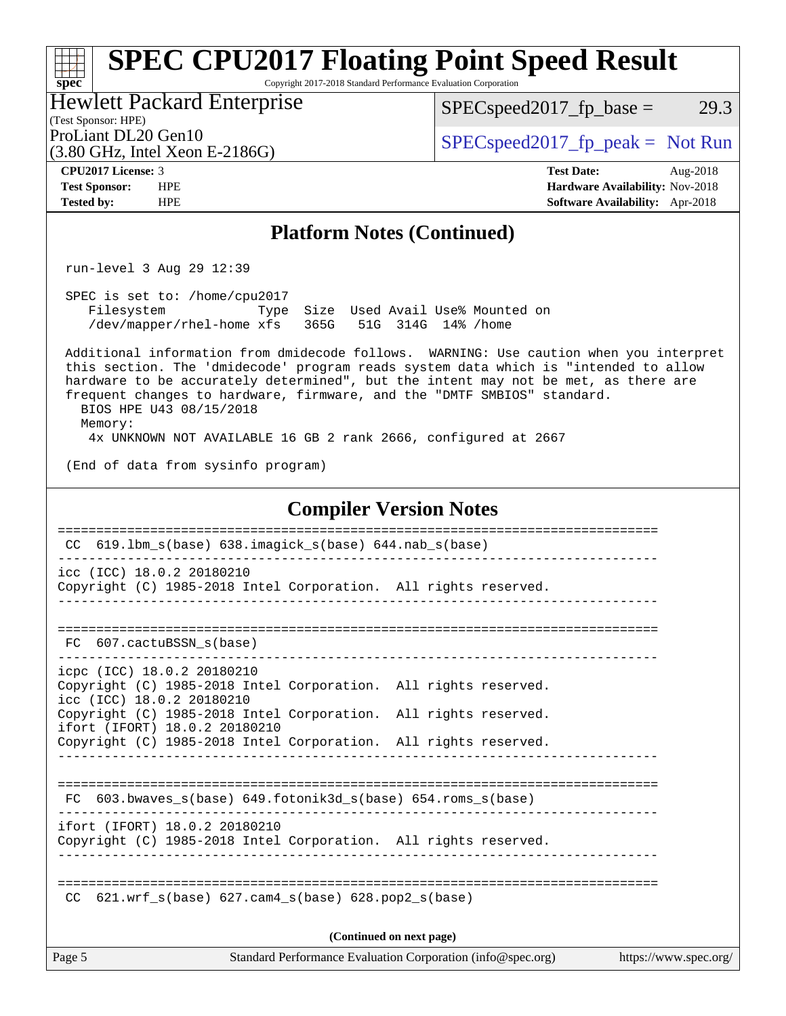### Page 5 Standard Performance Evaluation Corporation [\(info@spec.org\)](mailto:info@spec.org) <https://www.spec.org/> **[spec](http://www.spec.org/) [SPEC CPU2017 Floating Point Speed Result](http://www.spec.org/auto/cpu2017/Docs/result-fields.html#SPECCPU2017FloatingPointSpeedResult)** Copyright 2017-2018 Standard Performance Evaluation Corporation (Test Sponsor: HPE) Hewlett Packard Enterprise (3.80 GHz, Intel Xeon E-2186G) ProLiant DL20 Gen10  $SPEC speed2017_f$   $p\_peak = Not Run$  $SPEC speed2017_fp\_base = 29.3$ **[CPU2017 License:](http://www.spec.org/auto/cpu2017/Docs/result-fields.html#CPU2017License)** 3 **[Test Date:](http://www.spec.org/auto/cpu2017/Docs/result-fields.html#TestDate)** Aug-2018 **[Test Sponsor:](http://www.spec.org/auto/cpu2017/Docs/result-fields.html#TestSponsor)** HPE **[Hardware Availability:](http://www.spec.org/auto/cpu2017/Docs/result-fields.html#HardwareAvailability)** Nov-2018 **[Tested by:](http://www.spec.org/auto/cpu2017/Docs/result-fields.html#Testedby)** HPE **[Software Availability:](http://www.spec.org/auto/cpu2017/Docs/result-fields.html#SoftwareAvailability)** Apr-2018 **[Platform Notes \(Continued\)](http://www.spec.org/auto/cpu2017/Docs/result-fields.html#PlatformNotes)** run-level 3 Aug 29 12:39 SPEC is set to: /home/cpu2017 Filesystem Type Size Used Avail Use% Mounted on /dev/mapper/rhel-home xfs 365G 51G 314G 14% /home Additional information from dmidecode follows. WARNING: Use caution when you interpret this section. The 'dmidecode' program reads system data which is "intended to allow hardware to be accurately determined", but the intent may not be met, as there are frequent changes to hardware, firmware, and the "DMTF SMBIOS" standard. BIOS HPE U43 08/15/2018 Memory: 4x UNKNOWN NOT AVAILABLE 16 GB 2 rank 2666, configured at 2667 (End of data from sysinfo program) **[Compiler Version Notes](http://www.spec.org/auto/cpu2017/Docs/result-fields.html#CompilerVersionNotes)** ============================================================================== CC 619.lbm\_s(base) 638.imagick\_s(base) 644.nab\_s(base) ----------------------------------------------------------------------------- icc (ICC) 18.0.2 20180210 Copyright (C) 1985-2018 Intel Corporation. All rights reserved. ------------------------------------------------------------------------------ ============================================================================== FC 607.cactuBSSN s(base) ----------------------------------------------------------------------------- icpc (ICC) 18.0.2 20180210 Copyright (C) 1985-2018 Intel Corporation. All rights reserved. icc (ICC) 18.0.2 20180210 Copyright (C) 1985-2018 Intel Corporation. All rights reserved. ifort (IFORT) 18.0.2 20180210 Copyright (C) 1985-2018 Intel Corporation. All rights reserved. ------------------------------------------------------------------------------ ============================================================================== FC 603.bwaves\_s(base) 649.fotonik3d\_s(base) 654.roms\_s(base) ----------------------------------------------------------------------------- ifort (IFORT) 18.0.2 20180210 Copyright (C) 1985-2018 Intel Corporation. All rights reserved. ------------------------------------------------------------------------------ ============================================================================== CC  $621.wrf$  s(base)  $627.cam4$  s(base)  $628.pop2$  s(base) **(Continued on next page)**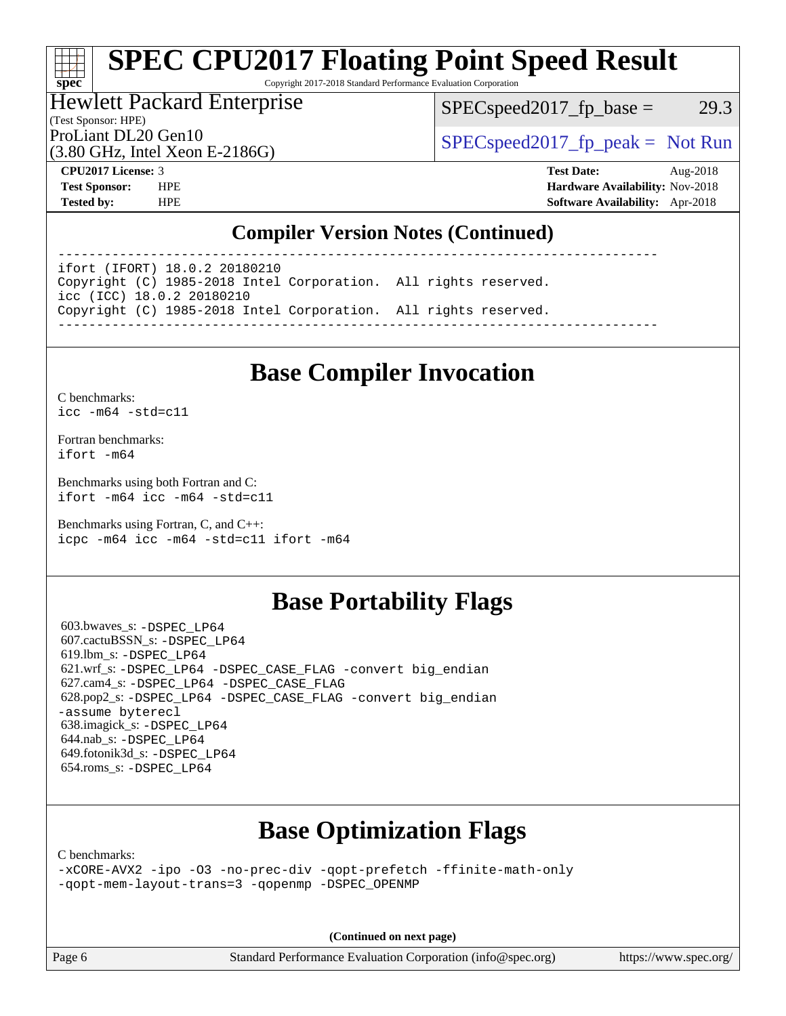# **[SPEC CPU2017 Floating Point Speed Result](http://www.spec.org/auto/cpu2017/Docs/result-fields.html#SPECCPU2017FloatingPointSpeedResult)**

Copyright 2017-2018 Standard Performance Evaluation Corporation

### Hewlett Packard Enterprise

 $SPEC speed2017_fp\_base = 29.3$ 

(Test Sponsor: HPE)

ProLiant DL20 Gen10  $SPEC speed2017_fp\_peak = Not Run$ 

(3.80 GHz, Intel Xeon E-2186G)

**[spec](http://www.spec.org/)**

**[CPU2017 License:](http://www.spec.org/auto/cpu2017/Docs/result-fields.html#CPU2017License)** 3 **[Test Date:](http://www.spec.org/auto/cpu2017/Docs/result-fields.html#TestDate)** Aug-2018 **[Test Sponsor:](http://www.spec.org/auto/cpu2017/Docs/result-fields.html#TestSponsor)** HPE **[Hardware Availability:](http://www.spec.org/auto/cpu2017/Docs/result-fields.html#HardwareAvailability)** Nov-2018 **[Tested by:](http://www.spec.org/auto/cpu2017/Docs/result-fields.html#Testedby)** HPE **[Software Availability:](http://www.spec.org/auto/cpu2017/Docs/result-fields.html#SoftwareAvailability)** Apr-2018

### **[Compiler Version Notes \(Continued\)](http://www.spec.org/auto/cpu2017/Docs/result-fields.html#CompilerVersionNotes)**

----------------------------------------------------------------------------- ifort (IFORT) 18.0.2 20180210 Copyright (C) 1985-2018 Intel Corporation. All rights reserved. icc (ICC) 18.0.2 20180210 Copyright (C) 1985-2018 Intel Corporation. All rights reserved. ------------------------------------------------------------------------------

## **[Base Compiler Invocation](http://www.spec.org/auto/cpu2017/Docs/result-fields.html#BaseCompilerInvocation)**

[C benchmarks](http://www.spec.org/auto/cpu2017/Docs/result-fields.html#Cbenchmarks): [icc -m64 -std=c11](http://www.spec.org/cpu2017/results/res2018q4/cpu2017-20181015-09175.flags.html#user_CCbase_intel_icc_64bit_c11_33ee0cdaae7deeeab2a9725423ba97205ce30f63b9926c2519791662299b76a0318f32ddfffdc46587804de3178b4f9328c46fa7c2b0cd779d7a61945c91cd35)

[Fortran benchmarks](http://www.spec.org/auto/cpu2017/Docs/result-fields.html#Fortranbenchmarks): [ifort -m64](http://www.spec.org/cpu2017/results/res2018q4/cpu2017-20181015-09175.flags.html#user_FCbase_intel_ifort_64bit_24f2bb282fbaeffd6157abe4f878425411749daecae9a33200eee2bee2fe76f3b89351d69a8130dd5949958ce389cf37ff59a95e7a40d588e8d3a57e0c3fd751)

[Benchmarks using both Fortran and C](http://www.spec.org/auto/cpu2017/Docs/result-fields.html#BenchmarksusingbothFortranandC): [ifort -m64](http://www.spec.org/cpu2017/results/res2018q4/cpu2017-20181015-09175.flags.html#user_CC_FCbase_intel_ifort_64bit_24f2bb282fbaeffd6157abe4f878425411749daecae9a33200eee2bee2fe76f3b89351d69a8130dd5949958ce389cf37ff59a95e7a40d588e8d3a57e0c3fd751) [icc -m64 -std=c11](http://www.spec.org/cpu2017/results/res2018q4/cpu2017-20181015-09175.flags.html#user_CC_FCbase_intel_icc_64bit_c11_33ee0cdaae7deeeab2a9725423ba97205ce30f63b9926c2519791662299b76a0318f32ddfffdc46587804de3178b4f9328c46fa7c2b0cd779d7a61945c91cd35)

[Benchmarks using Fortran, C, and C++:](http://www.spec.org/auto/cpu2017/Docs/result-fields.html#BenchmarksusingFortranCandCXX) [icpc -m64](http://www.spec.org/cpu2017/results/res2018q4/cpu2017-20181015-09175.flags.html#user_CC_CXX_FCbase_intel_icpc_64bit_4ecb2543ae3f1412ef961e0650ca070fec7b7afdcd6ed48761b84423119d1bf6bdf5cad15b44d48e7256388bc77273b966e5eb805aefd121eb22e9299b2ec9d9) [icc -m64 -std=c11](http://www.spec.org/cpu2017/results/res2018q4/cpu2017-20181015-09175.flags.html#user_CC_CXX_FCbase_intel_icc_64bit_c11_33ee0cdaae7deeeab2a9725423ba97205ce30f63b9926c2519791662299b76a0318f32ddfffdc46587804de3178b4f9328c46fa7c2b0cd779d7a61945c91cd35) [ifort -m64](http://www.spec.org/cpu2017/results/res2018q4/cpu2017-20181015-09175.flags.html#user_CC_CXX_FCbase_intel_ifort_64bit_24f2bb282fbaeffd6157abe4f878425411749daecae9a33200eee2bee2fe76f3b89351d69a8130dd5949958ce389cf37ff59a95e7a40d588e8d3a57e0c3fd751)

### **[Base Portability Flags](http://www.spec.org/auto/cpu2017/Docs/result-fields.html#BasePortabilityFlags)**

 603.bwaves\_s: [-DSPEC\\_LP64](http://www.spec.org/cpu2017/results/res2018q4/cpu2017-20181015-09175.flags.html#suite_basePORTABILITY603_bwaves_s_DSPEC_LP64) 607.cactuBSSN\_s: [-DSPEC\\_LP64](http://www.spec.org/cpu2017/results/res2018q4/cpu2017-20181015-09175.flags.html#suite_basePORTABILITY607_cactuBSSN_s_DSPEC_LP64) 619.lbm\_s: [-DSPEC\\_LP64](http://www.spec.org/cpu2017/results/res2018q4/cpu2017-20181015-09175.flags.html#suite_basePORTABILITY619_lbm_s_DSPEC_LP64) 621.wrf\_s: [-DSPEC\\_LP64](http://www.spec.org/cpu2017/results/res2018q4/cpu2017-20181015-09175.flags.html#suite_basePORTABILITY621_wrf_s_DSPEC_LP64) [-DSPEC\\_CASE\\_FLAG](http://www.spec.org/cpu2017/results/res2018q4/cpu2017-20181015-09175.flags.html#b621.wrf_s_baseCPORTABILITY_DSPEC_CASE_FLAG) [-convert big\\_endian](http://www.spec.org/cpu2017/results/res2018q4/cpu2017-20181015-09175.flags.html#user_baseFPORTABILITY621_wrf_s_convert_big_endian_c3194028bc08c63ac5d04de18c48ce6d347e4e562e8892b8bdbdc0214820426deb8554edfa529a3fb25a586e65a3d812c835984020483e7e73212c4d31a38223) 627.cam4\_s: [-DSPEC\\_LP64](http://www.spec.org/cpu2017/results/res2018q4/cpu2017-20181015-09175.flags.html#suite_basePORTABILITY627_cam4_s_DSPEC_LP64) [-DSPEC\\_CASE\\_FLAG](http://www.spec.org/cpu2017/results/res2018q4/cpu2017-20181015-09175.flags.html#b627.cam4_s_baseCPORTABILITY_DSPEC_CASE_FLAG) 628.pop2\_s: [-DSPEC\\_LP64](http://www.spec.org/cpu2017/results/res2018q4/cpu2017-20181015-09175.flags.html#suite_basePORTABILITY628_pop2_s_DSPEC_LP64) [-DSPEC\\_CASE\\_FLAG](http://www.spec.org/cpu2017/results/res2018q4/cpu2017-20181015-09175.flags.html#b628.pop2_s_baseCPORTABILITY_DSPEC_CASE_FLAG) [-convert big\\_endian](http://www.spec.org/cpu2017/results/res2018q4/cpu2017-20181015-09175.flags.html#user_baseFPORTABILITY628_pop2_s_convert_big_endian_c3194028bc08c63ac5d04de18c48ce6d347e4e562e8892b8bdbdc0214820426deb8554edfa529a3fb25a586e65a3d812c835984020483e7e73212c4d31a38223) [-assume byterecl](http://www.spec.org/cpu2017/results/res2018q4/cpu2017-20181015-09175.flags.html#user_baseFPORTABILITY628_pop2_s_assume_byterecl_7e47d18b9513cf18525430bbf0f2177aa9bf368bc7a059c09b2c06a34b53bd3447c950d3f8d6c70e3faf3a05c8557d66a5798b567902e8849adc142926523472) 638.imagick\_s: [-DSPEC\\_LP64](http://www.spec.org/cpu2017/results/res2018q4/cpu2017-20181015-09175.flags.html#suite_basePORTABILITY638_imagick_s_DSPEC_LP64) 644.nab\_s: [-DSPEC\\_LP64](http://www.spec.org/cpu2017/results/res2018q4/cpu2017-20181015-09175.flags.html#suite_basePORTABILITY644_nab_s_DSPEC_LP64) 649.fotonik3d\_s: [-DSPEC\\_LP64](http://www.spec.org/cpu2017/results/res2018q4/cpu2017-20181015-09175.flags.html#suite_basePORTABILITY649_fotonik3d_s_DSPEC_LP64) 654.roms\_s: [-DSPEC\\_LP64](http://www.spec.org/cpu2017/results/res2018q4/cpu2017-20181015-09175.flags.html#suite_basePORTABILITY654_roms_s_DSPEC_LP64)

## **[Base Optimization Flags](http://www.spec.org/auto/cpu2017/Docs/result-fields.html#BaseOptimizationFlags)**

[C benchmarks](http://www.spec.org/auto/cpu2017/Docs/result-fields.html#Cbenchmarks):

[-xCORE-AVX2](http://www.spec.org/cpu2017/results/res2018q4/cpu2017-20181015-09175.flags.html#user_CCbase_f-xCORE-AVX2) [-ipo](http://www.spec.org/cpu2017/results/res2018q4/cpu2017-20181015-09175.flags.html#user_CCbase_f-ipo) [-O3](http://www.spec.org/cpu2017/results/res2018q4/cpu2017-20181015-09175.flags.html#user_CCbase_f-O3) [-no-prec-div](http://www.spec.org/cpu2017/results/res2018q4/cpu2017-20181015-09175.flags.html#user_CCbase_f-no-prec-div) [-qopt-prefetch](http://www.spec.org/cpu2017/results/res2018q4/cpu2017-20181015-09175.flags.html#user_CCbase_f-qopt-prefetch) [-ffinite-math-only](http://www.spec.org/cpu2017/results/res2018q4/cpu2017-20181015-09175.flags.html#user_CCbase_f_finite_math_only_cb91587bd2077682c4b38af759c288ed7c732db004271a9512da14a4f8007909a5f1427ecbf1a0fb78ff2a814402c6114ac565ca162485bbcae155b5e4258871) [-qopt-mem-layout-trans=3](http://www.spec.org/cpu2017/results/res2018q4/cpu2017-20181015-09175.flags.html#user_CCbase_f-qopt-mem-layout-trans_de80db37974c74b1f0e20d883f0b675c88c3b01e9d123adea9b28688d64333345fb62bc4a798493513fdb68f60282f9a726aa07f478b2f7113531aecce732043) [-qopenmp](http://www.spec.org/cpu2017/results/res2018q4/cpu2017-20181015-09175.flags.html#user_CCbase_qopenmp_16be0c44f24f464004c6784a7acb94aca937f053568ce72f94b139a11c7c168634a55f6653758ddd83bcf7b8463e8028bb0b48b77bcddc6b78d5d95bb1df2967) [-DSPEC\\_OPENMP](http://www.spec.org/cpu2017/results/res2018q4/cpu2017-20181015-09175.flags.html#suite_CCbase_DSPEC_OPENMP)

**(Continued on next page)**

Page 6 Standard Performance Evaluation Corporation [\(info@spec.org\)](mailto:info@spec.org) <https://www.spec.org/>